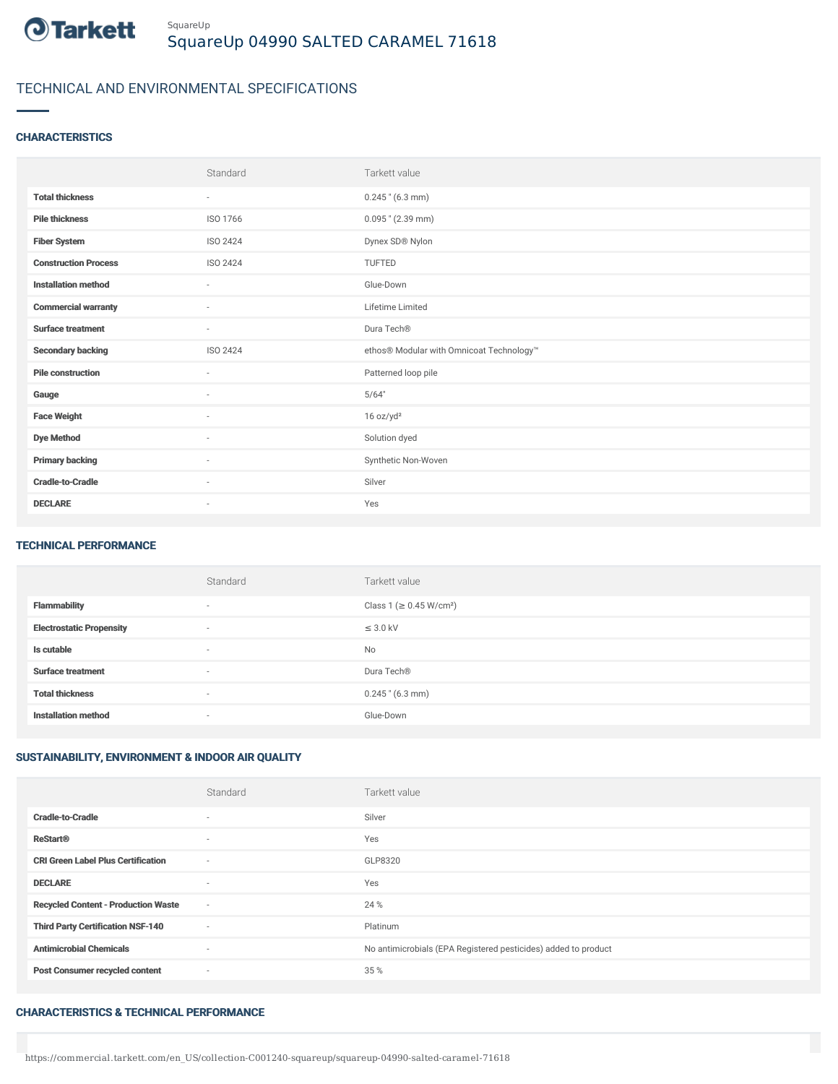

# TECHNICAL AND ENVIRONMENTAL SPECIFICATIONS

## **CHARACTERISTICS**

|                             | Standard                 | Tarkett value                            |
|-----------------------------|--------------------------|------------------------------------------|
| <b>Total thickness</b>      | $\sim$                   | $0.245$ " (6.3 mm)                       |
| <b>Pile thickness</b>       | ISO 1766                 | $0.095$ " (2.39 mm)                      |
| <b>Fiber System</b>         | ISO 2424                 | Dynex SD® Nylon                          |
| <b>Construction Process</b> | ISO 2424                 | TUFTED                                   |
| <b>Installation method</b>  | $\sim$                   | Glue-Down                                |
| <b>Commercial warranty</b>  | $\sim$                   | Lifetime Limited                         |
| <b>Surface treatment</b>    | $\sim$                   | Dura Tech®                               |
| <b>Secondary backing</b>    | ISO 2424                 | ethos® Modular with Omnicoat Technology™ |
| <b>Pile construction</b>    | $\overline{\phantom{a}}$ | Patterned loop pile                      |
| Gauge                       | ×                        | 5/64"                                    |
| <b>Face Weight</b>          | $\overline{\phantom{a}}$ | 16 oz/yd <sup>2</sup>                    |
| <b>Dye Method</b>           | $\sim$                   | Solution dyed                            |
| <b>Primary backing</b>      | $\sim$                   | Synthetic Non-Woven                      |
| <b>Cradle-to-Cradle</b>     | ٠                        | Silver                                   |
| <b>DECLARE</b>              | $\sim$                   | Yes                                      |

#### TECHNICAL PERFORMANCE

|                                 | Standard                 | Tarkett value                       |
|---------------------------------|--------------------------|-------------------------------------|
| <b>Flammability</b>             | $\overline{\phantom{a}}$ | Class 1 (≥ 0.45 W/cm <sup>2</sup> ) |
| <b>Electrostatic Propensity</b> | $\sim$                   | $\leq$ 3.0 kV                       |
| Is cutable                      | $\overline{\phantom{a}}$ | No                                  |
| <b>Surface treatment</b>        | $\overline{\phantom{a}}$ | Dura Tech <sup>®</sup>              |
| <b>Total thickness</b>          | $\overline{\phantom{a}}$ | $0.245$ " (6.3 mm)                  |
| <b>Installation method</b>      | $\overline{\phantom{a}}$ | Glue-Down                           |

# SUSTAINABILITY, ENVIRONMENT & INDOOR AIR QUALITY

|                                            | Standard | Tarkett value                                                  |
|--------------------------------------------|----------|----------------------------------------------------------------|
| <b>Cradle-to-Cradle</b>                    | $\sim$   | Silver                                                         |
| <b>ReStart®</b>                            | $\sim$   | Yes                                                            |
| <b>CRI Green Label Plus Certification</b>  | $\sim$   | GLP8320                                                        |
| <b>DECLARE</b>                             | $\sim$   | Yes                                                            |
| <b>Recycled Content - Production Waste</b> | $\sim$   | 24 %                                                           |
| <b>Third Party Certification NSF-140</b>   | $\sim$   | Platinum                                                       |
| <b>Antimicrobial Chemicals</b>             | ٠        | No antimicrobials (EPA Registered pesticides) added to product |
| <b>Post Consumer recycled content</b>      | $\sim$   | 35 %                                                           |

### CHARACTERISTICS & TECHNICAL PERFORMANCE